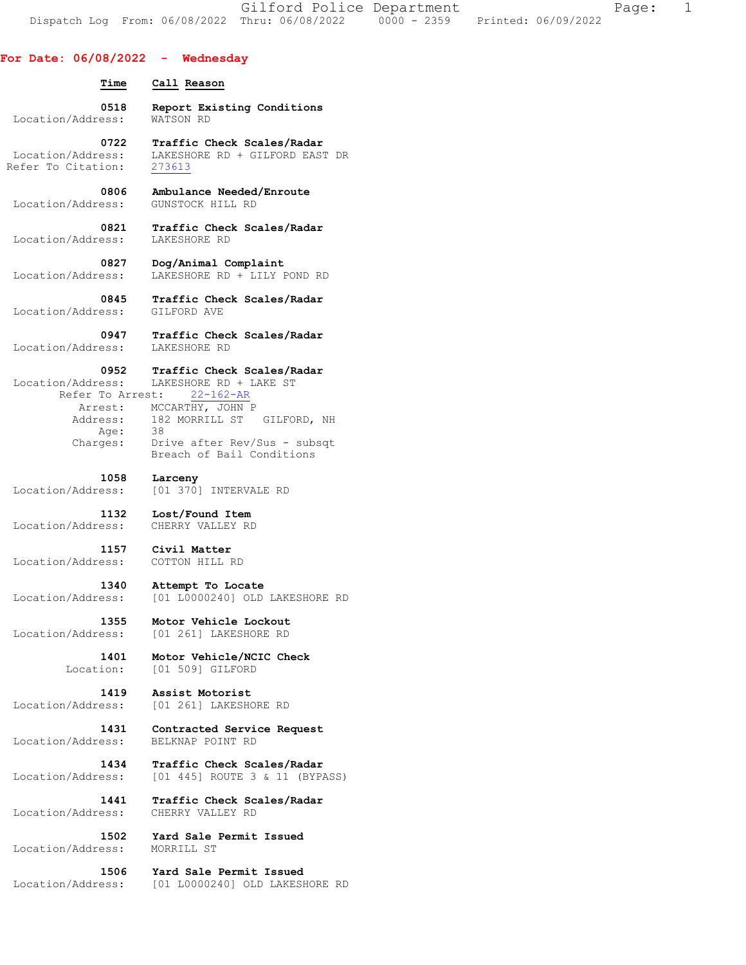Gilford Police Department The Page: 1 Dispatch Log From: 06/08/2022 Thru: 06/08/2022 0000 - 2359 Printed: 06/09/2022

| For Date: $06/08/2022 -$ Wednesday         |                                                                                         |
|--------------------------------------------|-----------------------------------------------------------------------------------------|
| Time                                       | Call Reason                                                                             |
| 0518                                       | Report Existing Conditions                                                              |
| Location/Address:                          | WATSON RD                                                                               |
| 0722                                       | Traffic Check Scales/Radar                                                              |
| Location/Address:                          | LAKESHORE RD + GILFORD EAST DR                                                          |
| Refer To Citation:                         | 273613                                                                                  |
| 0806 -                                     | Ambulance Needed/Enroute                                                                |
| Location/Address:                          | GUNSTOCK HILL RD                                                                        |
| 0821                                       | Traffic Check Scales/Radar                                                              |
| Location/Address:                          | LAKESHORE RD                                                                            |
| 0827                                       | Dog/Animal Complaint                                                                    |
| Location/Address:                          | LAKESHORE RD + LILY POND RD                                                             |
| 0845                                       | Traffic Check Scales/Radar                                                              |
| Location/Address:                          | GILFORD AVE                                                                             |
| 0947                                       | Traffic Check Scales/Radar                                                              |
| Location/Address:                          | LAKESHORE RD                                                                            |
| Location/Address:                          | 0952 Traffic Check Scales/Radar<br>LAKESHORE RD + LAKE ST<br>Refer To Arrest: 22-162-AR |
|                                            | Arrest: MCCARTHY, JOHN P<br>Address: 182 MORRILL ST GILFORD, NH                         |
| Age: 38<br>Charges:                        | Drive after Rev/Sus - subsqt                                                            |
|                                            | Breach of Bail Conditions                                                               |
| 1058                                       | Larceny                                                                                 |
| Location/Address:                          | [01 370] INTERVALE RD                                                                   |
| 1132<br>Location/Address: CHERRY VALLEY RD | Lost/Found Item                                                                         |
| Location/Address:                          | 1157 Civil Matter<br>COTTON HILL RD                                                     |
| 1340                                       | Attempt To Locate                                                                       |
| Location/Address:                          | [01 L0000240] OLD LAKESHORE RD                                                          |
| 1355                                       | Motor Vehicle Lockout                                                                   |
| Location/Address:                          | [01 261] LAKESHORE RD                                                                   |
| 1401                                       | Motor Vehicle/NCIC Check                                                                |
| Location:                                  | [01 509] GILFORD                                                                        |
| 1419                                       | Assist Motorist                                                                         |
| Location/Address:                          | [01 261] LAKESHORE RD                                                                   |
| 1431                                       | Contracted Service Request                                                              |
| Location/Address:                          | BELKNAP POINT RD                                                                        |
| 1434                                       | Traffic Check Scales/Radar                                                              |
| Location/Address:                          | [01 445] ROUTE 3 & 11 (BYPASS)                                                          |
| 1441                                       | Traffic Check Scales/Radar                                                              |
| Location/Address:                          | CHERRY VALLEY RD                                                                        |
| 1502                                       | Yard Sale Permit Issued                                                                 |
| Location/Address:                          | MORRILL ST                                                                              |
| 1506                                       | Yard Sale Permit Issued                                                                 |

Location/Address: [01 L0000240] OLD LAKESHORE RD